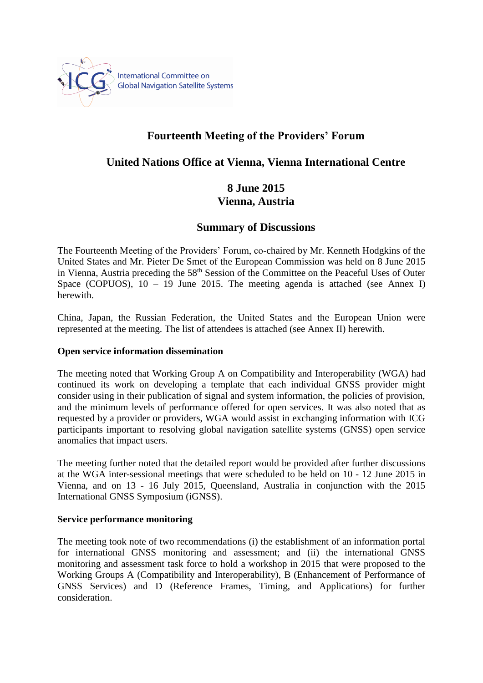

# **Fourteenth Meeting of the Providers' Forum**

# **United Nations Office at Vienna, Vienna International Centre**

# **8 June 2015 Vienna, Austria**

# **Summary of Discussions**

The Fourteenth Meeting of the Providers' Forum, co-chaired by Mr. Kenneth Hodgkins of the United States and Mr. Pieter De Smet of the European Commission was held on 8 June 2015 in Vienna, Austria preceding the 58<sup>th</sup> Session of the Committee on the Peaceful Uses of Outer Space (COPUOS),  $10 - 19$  June 2015. The meeting agenda is attached (see Annex I) herewith.

China, Japan, the Russian Federation, the United States and the European Union were represented at the meeting. The list of attendees is attached (see Annex II) herewith.

# **Open service information dissemination**

The meeting noted that Working Group A on Compatibility and Interoperability (WGA) had continued its work on developing a template that each individual GNSS provider might consider using in their publication of signal and system information, the policies of provision, and the minimum levels of performance offered for open services. It was also noted that as requested by a provider or providers, WGA would assist in exchanging information with ICG participants important to resolving global navigation satellite systems (GNSS) open service anomalies that impact users.

The meeting further noted that the detailed report would be provided after further discussions at the WGA inter-sessional meetings that were scheduled to be held on 10 - 12 June 2015 in Vienna, and on 13 - 16 July 2015, Queensland, Australia in conjunction with the 2015 International GNSS Symposium (iGNSS).

### **Service performance monitoring**

The meeting took note of two recommendations (i) the establishment of an information portal for international GNSS monitoring and assessment; and (ii) the international GNSS monitoring and assessment task force to hold a workshop in 2015 that were proposed to the Working Groups A (Compatibility and Interoperability), B (Enhancement of Performance of GNSS Services) and D (Reference Frames, Timing, and Applications) for further consideration.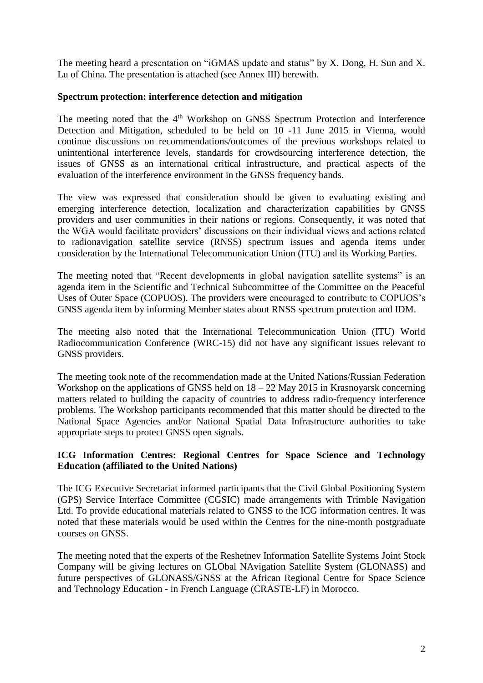The meeting heard a presentation on "iGMAS update and status" by X. Dong, H. Sun and X. Lu of China. The presentation is attached (see Annex III) herewith.

## **Spectrum protection: interference detection and mitigation**

The meeting noted that the 4<sup>th</sup> Workshop on GNSS Spectrum Protection and Interference Detection and Mitigation, scheduled to be held on 10 -11 June 2015 in Vienna, would continue discussions on recommendations/outcomes of the previous workshops related to unintentional interference levels, standards for crowdsourcing interference detection, the issues of GNSS as an international critical infrastructure, and practical aspects of the evaluation of the interference environment in the GNSS frequency bands.

The view was expressed that consideration should be given to evaluating existing and emerging interference detection, localization and characterization capabilities by GNSS providers and user communities in their nations or regions. Consequently, it was noted that the WGA would facilitate providers' discussions on their individual views and actions related to radionavigation satellite service (RNSS) spectrum issues and agenda items under consideration by the International Telecommunication Union (ITU) and its Working Parties.

The meeting noted that "Recent developments in global navigation satellite systems" is an agenda item in the Scientific and Technical Subcommittee of the Committee on the Peaceful Uses of Outer Space (COPUOS). The providers were encouraged to contribute to COPUOS's GNSS agenda item by informing Member states about RNSS spectrum protection and IDM.

The meeting also noted that the International Telecommunication Union (ITU) World Radiocommunication Conference (WRC-15) did not have any significant issues relevant to GNSS providers.

The meeting took note of the recommendation made at the United Nations/Russian Federation Workshop on the applications of GNSS held on  $18 - 22$  May 2015 in Krasnoyarsk concerning matters related to building the capacity of countries to address radio-frequency interference problems. The Workshop participants recommended that this matter should be directed to the National Space Agencies and/or National Spatial Data Infrastructure authorities to take appropriate steps to protect GNSS open signals.

# **ICG Information Centres: Regional Centres for Space Science and Technology Education (affiliated to the United Nations)**

The ICG Executive Secretariat informed participants that the Civil Global Positioning System (GPS) Service Interface Committee (CGSIC) made arrangements with Trimble Navigation Ltd. To provide educational materials related to GNSS to the ICG information centres. It was noted that these materials would be used within the Centres for the nine-month postgraduate courses on GNSS.

The meeting noted that the experts of the Reshetnev Information Satellite Systems Joint Stock Company will be giving lectures on GLObal NAvigation Satellite System (GLONASS) and future perspectives of GLONASS/GNSS at the African Regional Centre for Space Science and Technology Education - in French Language (CRASTE-LF) in Morocco.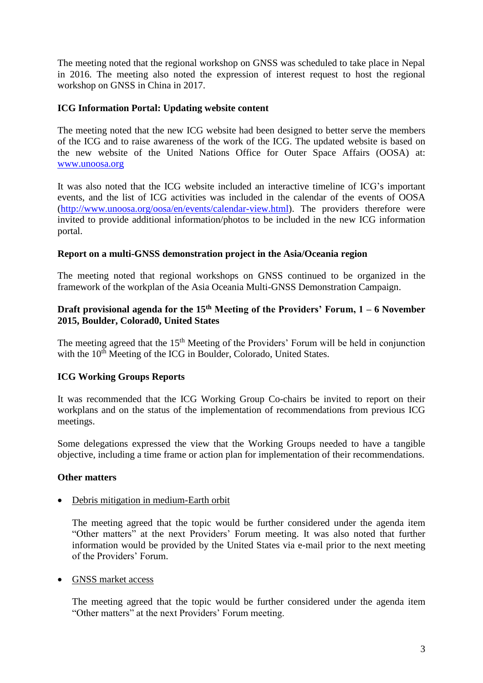The meeting noted that the regional workshop on GNSS was scheduled to take place in Nepal in 2016. The meeting also noted the expression of interest request to host the regional workshop on GNSS in China in 2017.

## **ICG Information Portal: Updating website content**

The meeting noted that the new ICG website had been designed to better serve the members of the ICG and to raise awareness of the work of the ICG. The updated website is based on the new website of the United Nations Office for Outer Space Affairs (OOSA) at: [www.unoosa.org](http://www.unoosa.org/)

It was also noted that the ICG website included an interactive timeline of ICG's important events, and the list of ICG activities was included in the calendar of the events of OOSA [\(http://www.unoosa.org/oosa/en/events/calendar-view.html\)](http://www.unoosa.org/oosa/en/events/calendar-view.html). The providers therefore were invited to provide additional information/photos to be included in the new ICG information portal.

## **Report on a multi-GNSS demonstration project in the Asia/Oceania region**

The meeting noted that regional workshops on GNSS continued to be organized in the framework of the workplan of the Asia Oceania Multi-GNSS Demonstration Campaign.

# **Draft provisional agenda for the 15th Meeting of the Providers' Forum, 1 – 6 November 2015, Boulder, Colorad0, United States**

The meeting agreed that the  $15<sup>th</sup>$  Meeting of the Providers' Forum will be held in conjunction with the 10<sup>th</sup> Meeting of the ICG in Boulder, Colorado, United States.

# **ICG Working Groups Reports**

It was recommended that the ICG Working Group Co-chairs be invited to report on their workplans and on the status of the implementation of recommendations from previous ICG meetings.

Some delegations expressed the view that the Working Groups needed to have a tangible objective, including a time frame or action plan for implementation of their recommendations.

### **Other matters**

### Debris mitigation in medium-Earth orbit

The meeting agreed that the topic would be further considered under the agenda item "Other matters" at the next Providers' Forum meeting. It was also noted that further information would be provided by the United States via e-mail prior to the next meeting of the Providers' Forum.

### • GNSS market access

The meeting agreed that the topic would be further considered under the agenda item "Other matters" at the next Providers' Forum meeting.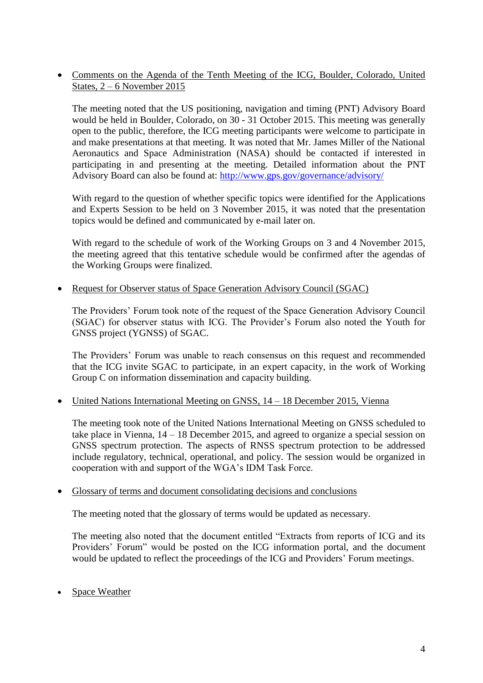Comments on the Agenda of the Tenth Meeting of the ICG, Boulder, Colorado, United States, 2 – 6 November 2015

The meeting noted that the US positioning, navigation and timing (PNT) Advisory Board would be held in Boulder, Colorado, on 30 - 31 October 2015. This meeting was generally open to the public, therefore, the ICG meeting participants were welcome to participate in and make presentations at that meeting. It was noted that Mr. James Miller of the National Aeronautics and Space Administration (NASA) should be contacted if interested in participating in and presenting at the meeting. Detailed information about the PNT Advisory Board can also be found at: <http://www.gps.gov/governance/advisory/>

With regard to the question of whether specific topics were identified for the Applications and Experts Session to be held on 3 November 2015, it was noted that the presentation topics would be defined and communicated by e-mail later on.

With regard to the schedule of work of the Working Groups on 3 and 4 November 2015, the meeting agreed that this tentative schedule would be confirmed after the agendas of the Working Groups were finalized.

Request for Observer status of Space Generation Advisory Council (SGAC)

The Providers' Forum took note of the request of the Space Generation Advisory Council (SGAC) for observer status with ICG. The Provider's Forum also noted the Youth for GNSS project (YGNSS) of SGAC.

The Providers' Forum was unable to reach consensus on this request and recommended that the ICG invite SGAC to participate, in an expert capacity, in the work of Working Group C on information dissemination and capacity building.

• United Nations International Meeting on GNSS, 14 – 18 December 2015, Vienna

The meeting took note of the United Nations International Meeting on GNSS scheduled to take place in Vienna, 14 – 18 December 2015, and agreed to organize a special session on GNSS spectrum protection. The aspects of RNSS spectrum protection to be addressed include regulatory, technical, operational, and policy. The session would be organized in cooperation with and support of the WGA's IDM Task Force.

### Glossary of terms and document consolidating decisions and conclusions

The meeting noted that the glossary of terms would be updated as necessary.

The meeting also noted that the document entitled "Extracts from reports of ICG and its Providers' Forum" would be posted on the ICG information portal, and the document would be updated to reflect the proceedings of the ICG and Providers' Forum meetings.

Space Weather